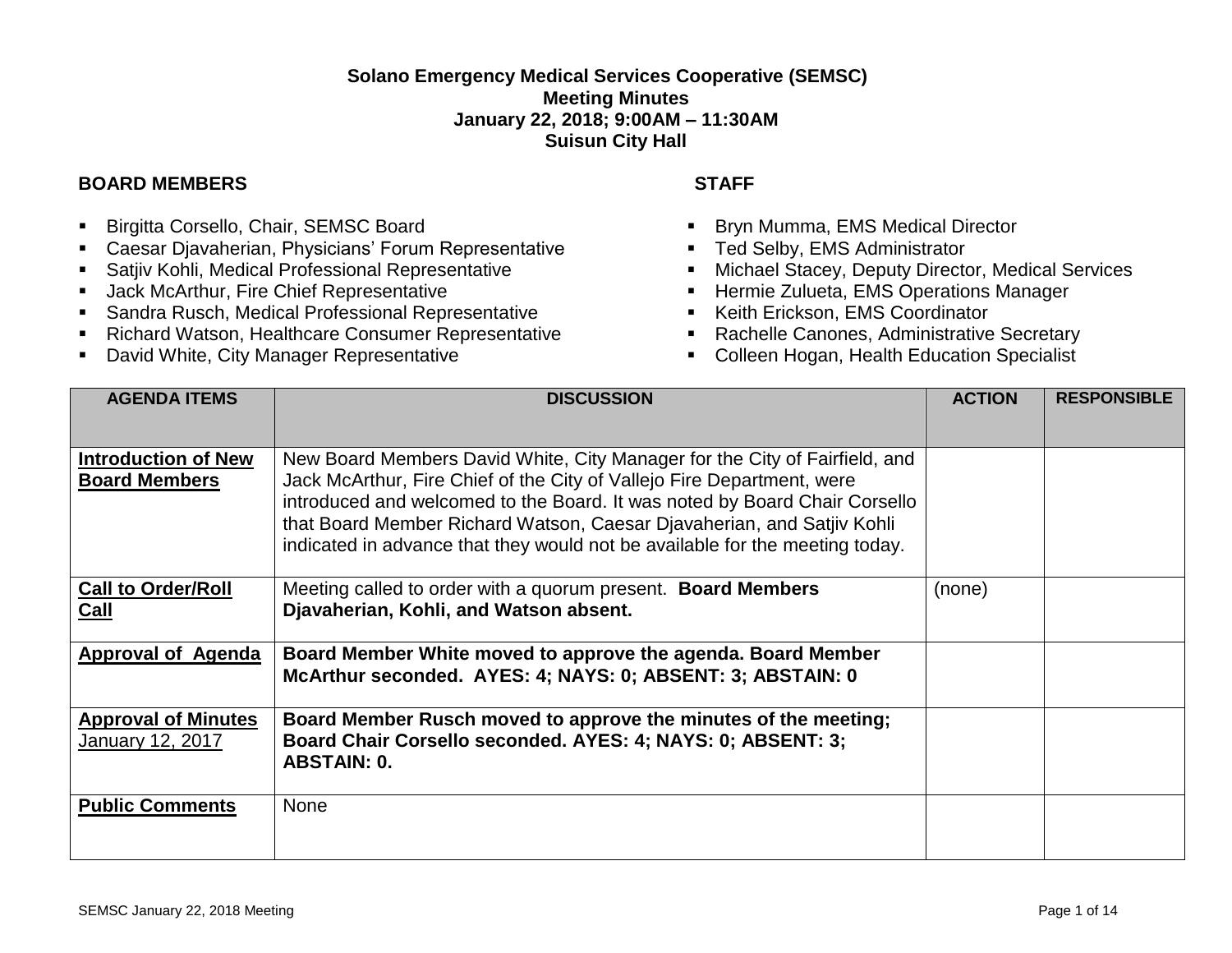## **Solano Emergency Medical Services Cooperative (SEMSC) Meeting Minutes January 22, 2018; 9:00AM – 11:30AM Suisun City Hall**

## **BOARD MEMBERS STAFF**

- **E** Birgitta Corsello, Chair, SEMSC Board
- Caesar Djavaherian, Physicians' Forum Representative
- Satjiv Kohli, Medical Professional Representative
- **■** Jack McArthur, Fire Chief Representative
- Sandra Rusch, Medical Professional Representative
- **Richard Watson, Healthcare Consumer Representative**
- David White, City Manager Representative

- Bryn Mumma, EMS Medical Director
- Ted Selby, EMS Administrator
- Michael Stacey, Deputy Director, Medical Services
- **EXEC** Hermie Zulueta, EMS Operations Manager
- Keith Erickson, EMS Coordinator
- Rachelle Canones, Administrative Secretary
- Colleen Hogan, Health Education Specialist

| <b>AGENDA ITEMS</b>                                | <b>DISCUSSION</b>                                                                                                                                                                                                                                                                                                                                                                            | <b>ACTION</b> | <b>RESPONSIBLE</b> |
|----------------------------------------------------|----------------------------------------------------------------------------------------------------------------------------------------------------------------------------------------------------------------------------------------------------------------------------------------------------------------------------------------------------------------------------------------------|---------------|--------------------|
| <b>Introduction of New</b><br><b>Board Members</b> | New Board Members David White, City Manager for the City of Fairfield, and<br>Jack McArthur, Fire Chief of the City of Vallejo Fire Department, were<br>introduced and welcomed to the Board. It was noted by Board Chair Corsello<br>that Board Member Richard Watson, Caesar Djavaherian, and Satjiv Kohli<br>indicated in advance that they would not be available for the meeting today. |               |                    |
| <b>Call to Order/Roll</b><br>Call                  | Meeting called to order with a quorum present. Board Members<br>Djavaherian, Kohli, and Watson absent.                                                                                                                                                                                                                                                                                       | (none)        |                    |
| <b>Approval of Agenda</b>                          | Board Member White moved to approve the agenda. Board Member<br>McArthur seconded. AYES: 4; NAYS: 0; ABSENT: 3; ABSTAIN: 0                                                                                                                                                                                                                                                                   |               |                    |
| <b>Approval of Minutes</b><br>January 12, 2017     | Board Member Rusch moved to approve the minutes of the meeting;<br>Board Chair Corsello seconded. AYES: 4; NAYS: 0; ABSENT: 3;<br><b>ABSTAIN: 0.</b>                                                                                                                                                                                                                                         |               |                    |
| <b>Public Comments</b>                             | <b>None</b>                                                                                                                                                                                                                                                                                                                                                                                  |               |                    |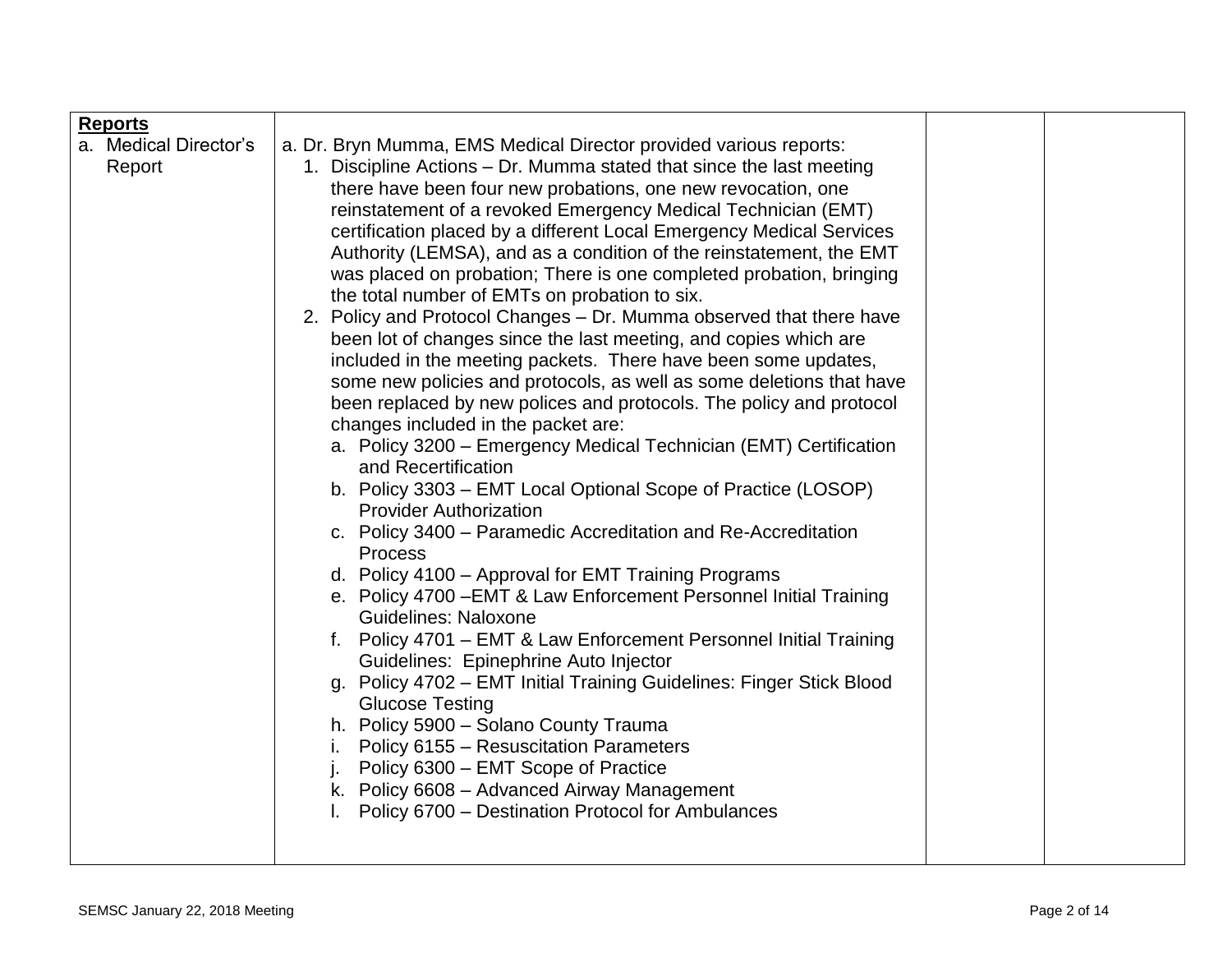| <b>Reports</b>        |                                                                                                                      |  |
|-----------------------|----------------------------------------------------------------------------------------------------------------------|--|
| a. Medical Director's | a. Dr. Bryn Mumma, EMS Medical Director provided various reports:                                                    |  |
| Report                | 1. Discipline Actions – Dr. Mumma stated that since the last meeting                                                 |  |
|                       | there have been four new probations, one new revocation, one                                                         |  |
|                       | reinstatement of a revoked Emergency Medical Technician (EMT)                                                        |  |
|                       | certification placed by a different Local Emergency Medical Services                                                 |  |
|                       | Authority (LEMSA), and as a condition of the reinstatement, the EMT                                                  |  |
|                       | was placed on probation; There is one completed probation, bringing<br>the total number of EMTs on probation to six. |  |
|                       | 2. Policy and Protocol Changes – Dr. Mumma observed that there have                                                  |  |
|                       | been lot of changes since the last meeting, and copies which are                                                     |  |
|                       | included in the meeting packets. There have been some updates,                                                       |  |
|                       | some new policies and protocols, as well as some deletions that have                                                 |  |
|                       | been replaced by new polices and protocols. The policy and protocol                                                  |  |
|                       | changes included in the packet are:                                                                                  |  |
|                       | a. Policy 3200 – Emergency Medical Technician (EMT) Certification                                                    |  |
|                       | and Recertification<br>b. Policy 3303 - EMT Local Optional Scope of Practice (LOSOP)                                 |  |
|                       | <b>Provider Authorization</b>                                                                                        |  |
|                       | c. Policy 3400 - Paramedic Accreditation and Re-Accreditation                                                        |  |
|                       | <b>Process</b>                                                                                                       |  |
|                       | d. Policy 4100 - Approval for EMT Training Programs                                                                  |  |
|                       | e. Policy 4700 - EMT & Law Enforcement Personnel Initial Training                                                    |  |
|                       | <b>Guidelines: Naloxone</b>                                                                                          |  |
|                       | f. Policy 4701 - EMT & Law Enforcement Personnel Initial Training                                                    |  |
|                       | Guidelines: Epinephrine Auto Injector<br>g. Policy 4702 - EMT Initial Training Guidelines: Finger Stick Blood        |  |
|                       | <b>Glucose Testing</b>                                                                                               |  |
|                       | h. Policy 5900 - Solano County Trauma                                                                                |  |
|                       | Policy 6155 – Resuscitation Parameters<br>Ι.                                                                         |  |
|                       | Policy 6300 – EMT Scope of Practice<br>j.                                                                            |  |
|                       | k. Policy 6608 - Advanced Airway Management                                                                          |  |
|                       | Policy 6700 - Destination Protocol for Ambulances                                                                    |  |
|                       |                                                                                                                      |  |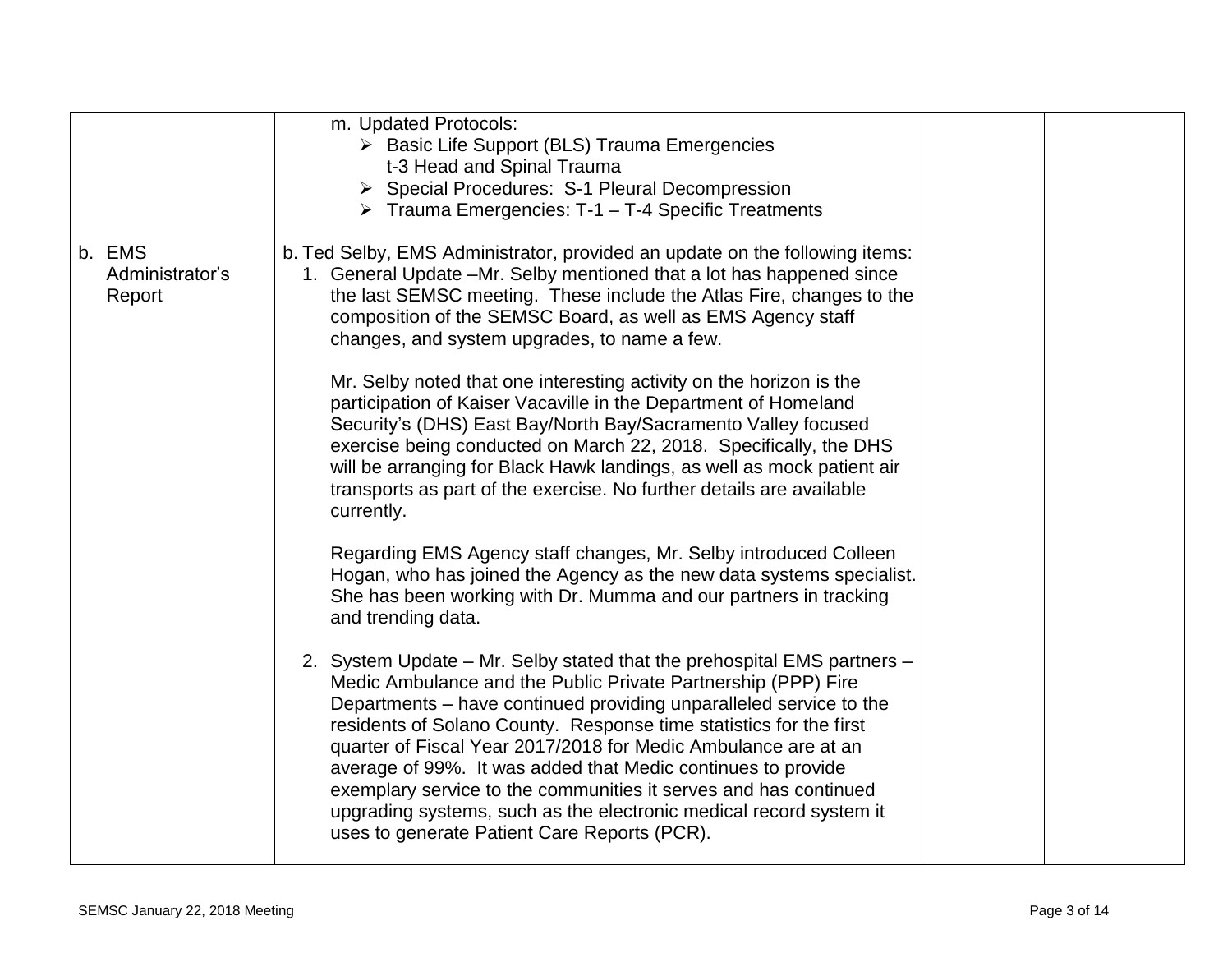|                                     | m. Updated Protocols:<br>> Basic Life Support (BLS) Trauma Emergencies<br>t-3 Head and Spinal Trauma<br>> Special Procedures: S-1 Pleural Decompression<br>Trauma Emergencies: T-1 - T-4 Specific Treatments                                                                                                                                                                                                                                                                                                                                                                                                     |  |
|-------------------------------------|------------------------------------------------------------------------------------------------------------------------------------------------------------------------------------------------------------------------------------------------------------------------------------------------------------------------------------------------------------------------------------------------------------------------------------------------------------------------------------------------------------------------------------------------------------------------------------------------------------------|--|
| b. EMS<br>Administrator's<br>Report | b. Ted Selby, EMS Administrator, provided an update on the following items:<br>1. General Update -Mr. Selby mentioned that a lot has happened since<br>the last SEMSC meeting. These include the Atlas Fire, changes to the<br>composition of the SEMSC Board, as well as EMS Agency staff<br>changes, and system upgrades, to name a few.                                                                                                                                                                                                                                                                       |  |
|                                     | Mr. Selby noted that one interesting activity on the horizon is the<br>participation of Kaiser Vacaville in the Department of Homeland<br>Security's (DHS) East Bay/North Bay/Sacramento Valley focused<br>exercise being conducted on March 22, 2018. Specifically, the DHS<br>will be arranging for Black Hawk landings, as well as mock patient air<br>transports as part of the exercise. No further details are available<br>currently.                                                                                                                                                                     |  |
|                                     | Regarding EMS Agency staff changes, Mr. Selby introduced Colleen<br>Hogan, who has joined the Agency as the new data systems specialist.<br>She has been working with Dr. Mumma and our partners in tracking<br>and trending data.                                                                                                                                                                                                                                                                                                                                                                               |  |
|                                     | 2. System Update – Mr. Selby stated that the prehospital EMS partners –<br>Medic Ambulance and the Public Private Partnership (PPP) Fire<br>Departments – have continued providing unparalleled service to the<br>residents of Solano County. Response time statistics for the first<br>quarter of Fiscal Year 2017/2018 for Medic Ambulance are at an<br>average of 99%. It was added that Medic continues to provide<br>exemplary service to the communities it serves and has continued<br>upgrading systems, such as the electronic medical record system it<br>uses to generate Patient Care Reports (PCR). |  |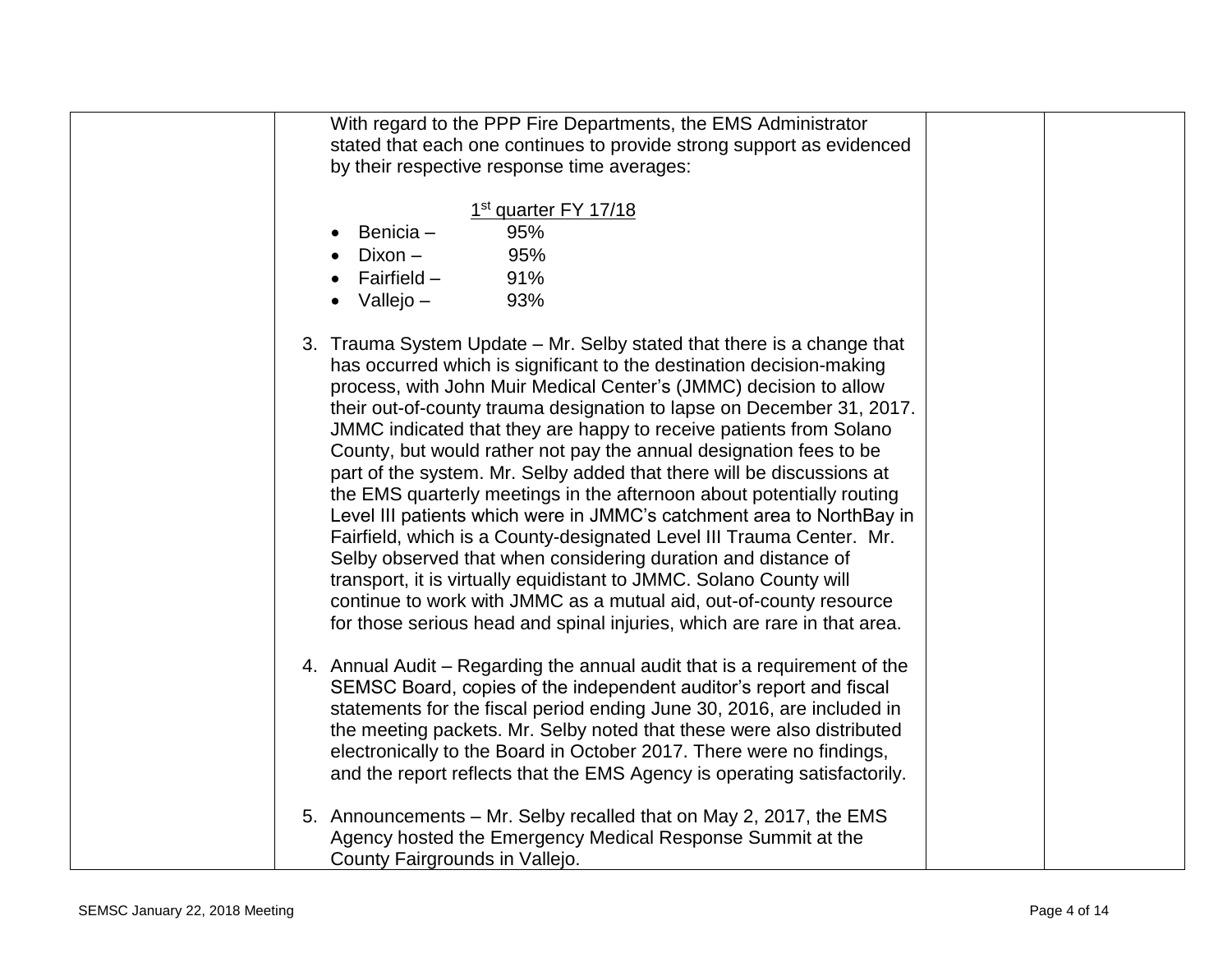| With regard to the PPP Fire Departments, the EMS Administrator                                                                                                                                                                                                                                                                                                                                                                                                                                                                                                                                                                                                                                                                                                                                                                                                                                                                                                                                                                       |
|--------------------------------------------------------------------------------------------------------------------------------------------------------------------------------------------------------------------------------------------------------------------------------------------------------------------------------------------------------------------------------------------------------------------------------------------------------------------------------------------------------------------------------------------------------------------------------------------------------------------------------------------------------------------------------------------------------------------------------------------------------------------------------------------------------------------------------------------------------------------------------------------------------------------------------------------------------------------------------------------------------------------------------------|
| stated that each one continues to provide strong support as evidenced                                                                                                                                                                                                                                                                                                                                                                                                                                                                                                                                                                                                                                                                                                                                                                                                                                                                                                                                                                |
| by their respective response time averages:                                                                                                                                                                                                                                                                                                                                                                                                                                                                                                                                                                                                                                                                                                                                                                                                                                                                                                                                                                                          |
|                                                                                                                                                                                                                                                                                                                                                                                                                                                                                                                                                                                                                                                                                                                                                                                                                                                                                                                                                                                                                                      |
| 1 <sup>st</sup> quarter FY 17/18                                                                                                                                                                                                                                                                                                                                                                                                                                                                                                                                                                                                                                                                                                                                                                                                                                                                                                                                                                                                     |
| Benicia-<br>95%                                                                                                                                                                                                                                                                                                                                                                                                                                                                                                                                                                                                                                                                                                                                                                                                                                                                                                                                                                                                                      |
| Dixon -<br>95%                                                                                                                                                                                                                                                                                                                                                                                                                                                                                                                                                                                                                                                                                                                                                                                                                                                                                                                                                                                                                       |
| Fairfield –<br>91%                                                                                                                                                                                                                                                                                                                                                                                                                                                                                                                                                                                                                                                                                                                                                                                                                                                                                                                                                                                                                   |
| Vallejo –<br>93%                                                                                                                                                                                                                                                                                                                                                                                                                                                                                                                                                                                                                                                                                                                                                                                                                                                                                                                                                                                                                     |
| 3. Trauma System Update – Mr. Selby stated that there is a change that<br>has occurred which is significant to the destination decision-making<br>process, with John Muir Medical Center's (JMMC) decision to allow<br>their out-of-county trauma designation to lapse on December 31, 2017.<br>JMMC indicated that they are happy to receive patients from Solano<br>County, but would rather not pay the annual designation fees to be<br>part of the system. Mr. Selby added that there will be discussions at<br>the EMS quarterly meetings in the afternoon about potentially routing<br>Level III patients which were in JMMC's catchment area to NorthBay in<br>Fairfield, which is a County-designated Level III Trauma Center. Mr.<br>Selby observed that when considering duration and distance of<br>transport, it is virtually equidistant to JMMC. Solano County will<br>continue to work with JMMC as a mutual aid, out-of-county resource<br>for those serious head and spinal injuries, which are rare in that area. |
| 4. Annual Audit – Regarding the annual audit that is a requirement of the<br>SEMSC Board, copies of the independent auditor's report and fiscal<br>statements for the fiscal period ending June 30, 2016, are included in<br>the meeting packets. Mr. Selby noted that these were also distributed<br>electronically to the Board in October 2017. There were no findings,<br>and the report reflects that the EMS Agency is operating satisfactorily.                                                                                                                                                                                                                                                                                                                                                                                                                                                                                                                                                                               |
| 5. Announcements – Mr. Selby recalled that on May 2, 2017, the EMS<br>Agency hosted the Emergency Medical Response Summit at the<br>County Fairgrounds in Vallejo.                                                                                                                                                                                                                                                                                                                                                                                                                                                                                                                                                                                                                                                                                                                                                                                                                                                                   |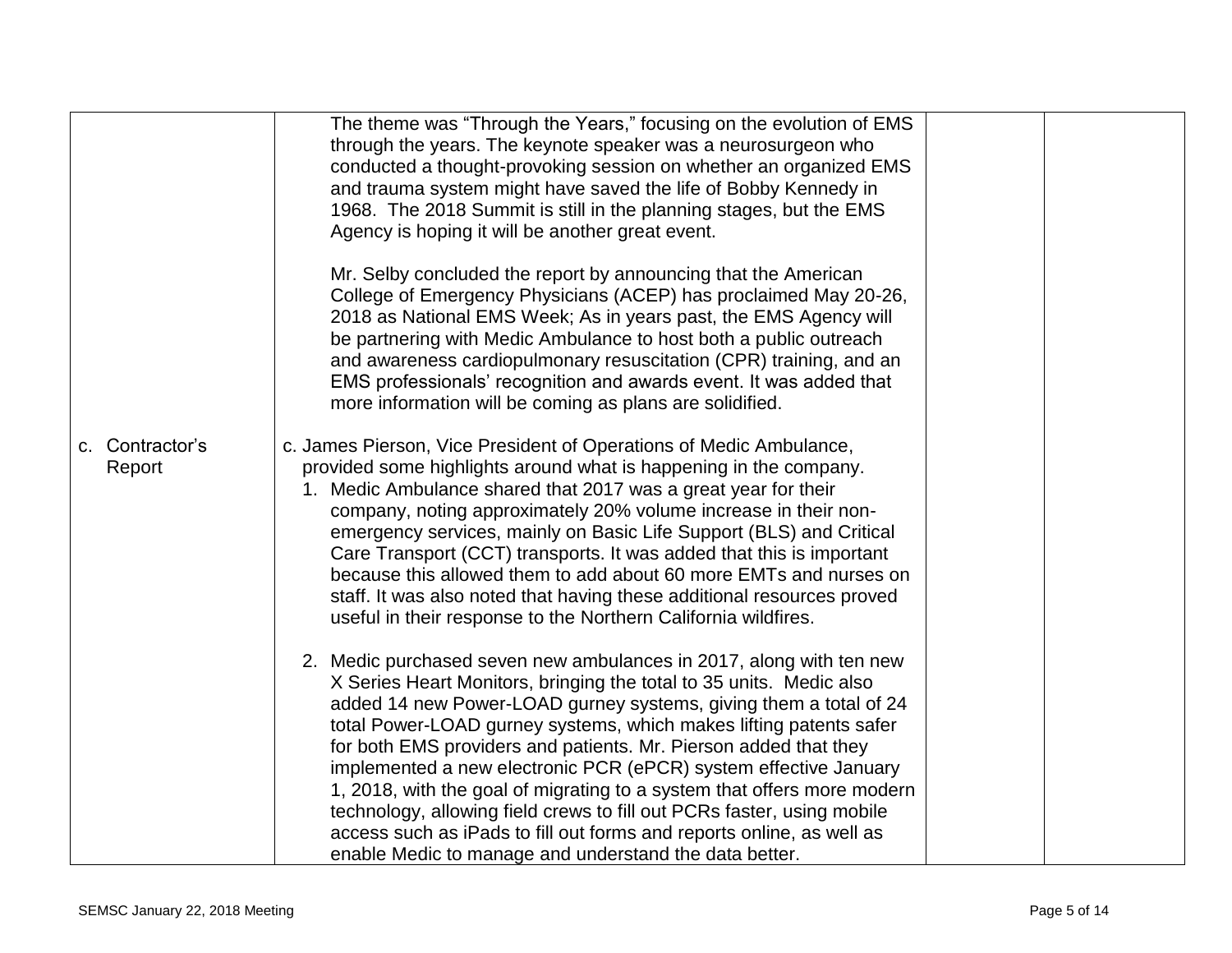|                           | The theme was "Through the Years," focusing on the evolution of EMS<br>through the years. The keynote speaker was a neurosurgeon who<br>conducted a thought-provoking session on whether an organized EMS<br>and trauma system might have saved the life of Bobby Kennedy in<br>1968. The 2018 Summit is still in the planning stages, but the EMS<br>Agency is hoping it will be another great event.                                                                                                                                                                                                                                                                                                                |  |
|---------------------------|-----------------------------------------------------------------------------------------------------------------------------------------------------------------------------------------------------------------------------------------------------------------------------------------------------------------------------------------------------------------------------------------------------------------------------------------------------------------------------------------------------------------------------------------------------------------------------------------------------------------------------------------------------------------------------------------------------------------------|--|
|                           | Mr. Selby concluded the report by announcing that the American<br>College of Emergency Physicians (ACEP) has proclaimed May 20-26,<br>2018 as National EMS Week; As in years past, the EMS Agency will<br>be partnering with Medic Ambulance to host both a public outreach<br>and awareness cardiopulmonary resuscitation (CPR) training, and an<br>EMS professionals' recognition and awards event. It was added that<br>more information will be coming as plans are solidified.                                                                                                                                                                                                                                   |  |
| c. Contractor's<br>Report | c. James Pierson, Vice President of Operations of Medic Ambulance,<br>provided some highlights around what is happening in the company.<br>1. Medic Ambulance shared that 2017 was a great year for their<br>company, noting approximately 20% volume increase in their non-<br>emergency services, mainly on Basic Life Support (BLS) and Critical<br>Care Transport (CCT) transports. It was added that this is important<br>because this allowed them to add about 60 more EMTs and nurses on<br>staff. It was also noted that having these additional resources proved<br>useful in their response to the Northern California wildfires.                                                                          |  |
|                           | 2. Medic purchased seven new ambulances in 2017, along with ten new<br>X Series Heart Monitors, bringing the total to 35 units. Medic also<br>added 14 new Power-LOAD gurney systems, giving them a total of 24<br>total Power-LOAD gurney systems, which makes lifting patents safer<br>for both EMS providers and patients. Mr. Pierson added that they<br>implemented a new electronic PCR (ePCR) system effective January<br>1, 2018, with the goal of migrating to a system that offers more modern<br>technology, allowing field crews to fill out PCRs faster, using mobile<br>access such as iPads to fill out forms and reports online, as well as<br>enable Medic to manage and understand the data better. |  |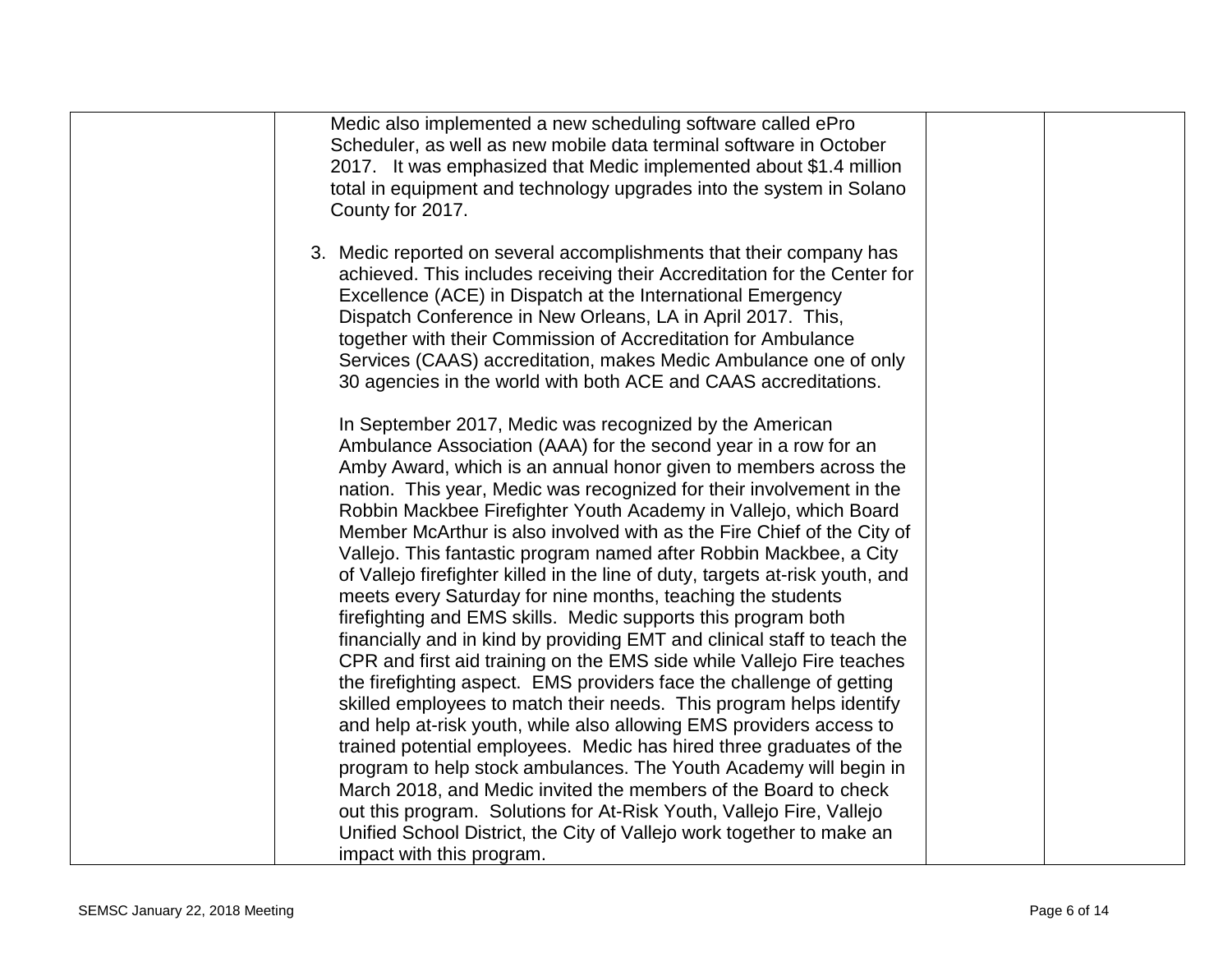| Medic also implemented a new scheduling software called ePro                  |  |
|-------------------------------------------------------------------------------|--|
| Scheduler, as well as new mobile data terminal software in October            |  |
| 2017. It was emphasized that Medic implemented about \$1.4 million            |  |
| total in equipment and technology upgrades into the system in Solano          |  |
| County for 2017.                                                              |  |
|                                                                               |  |
| 3. Medic reported on several accomplishments that their company has           |  |
| achieved. This includes receiving their Accreditation for the Center for      |  |
| Excellence (ACE) in Dispatch at the International Emergency                   |  |
| Dispatch Conference in New Orleans, LA in April 2017. This,                   |  |
| together with their Commission of Accreditation for Ambulance                 |  |
| Services (CAAS) accreditation, makes Medic Ambulance one of only              |  |
| 30 agencies in the world with both ACE and CAAS accreditations.               |  |
|                                                                               |  |
| In September 2017, Medic was recognized by the American                       |  |
| Ambulance Association (AAA) for the second year in a row for an               |  |
| Amby Award, which is an annual honor given to members across the              |  |
| nation. This year, Medic was recognized for their involvement in the          |  |
| Robbin Mackbee Firefighter Youth Academy in Vallejo, which Board              |  |
| Member McArthur is also involved with as the Fire Chief of the City of        |  |
| Vallejo. This fantastic program named after Robbin Mackbee, a City            |  |
| of Vallejo firefighter killed in the line of duty, targets at-risk youth, and |  |
| meets every Saturday for nine months, teaching the students                   |  |
| firefighting and EMS skills. Medic supports this program both                 |  |
| financially and in kind by providing EMT and clinical staff to teach the      |  |
| CPR and first aid training on the EMS side while Vallejo Fire teaches         |  |
| the firefighting aspect. EMS providers face the challenge of getting          |  |
| skilled employees to match their needs. This program helps identify           |  |
| and help at-risk youth, while also allowing EMS providers access to           |  |
| trained potential employees. Medic has hired three graduates of the           |  |
| program to help stock ambulances. The Youth Academy will begin in             |  |
| March 2018, and Medic invited the members of the Board to check               |  |
| out this program. Solutions for At-Risk Youth, Vallejo Fire, Vallejo          |  |
| Unified School District, the City of Vallejo work together to make an         |  |
| impact with this program.                                                     |  |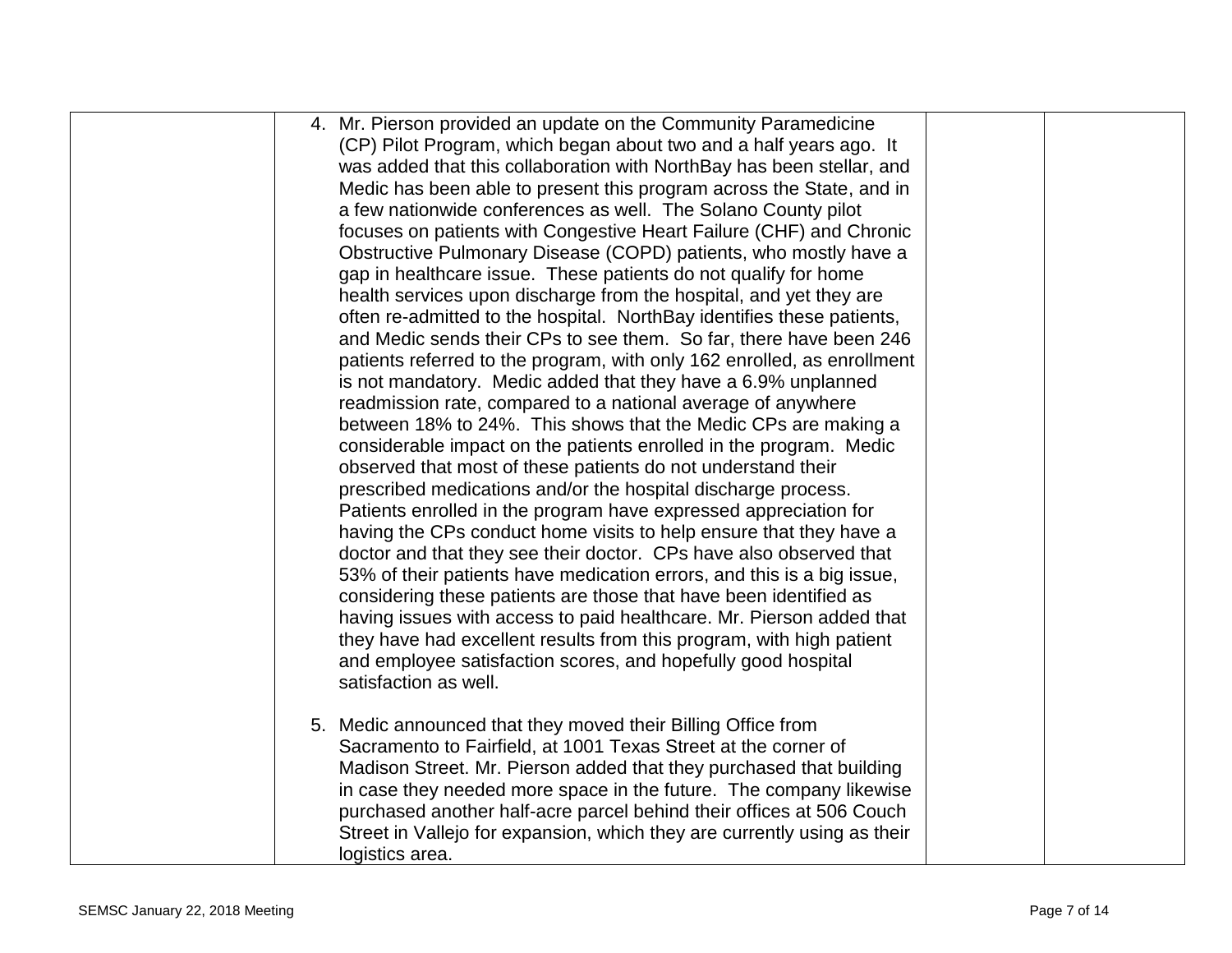| 4. Mr. Pierson provided an update on the Community Paramedicine          |
|--------------------------------------------------------------------------|
| (CP) Pilot Program, which began about two and a half years ago. It       |
| was added that this collaboration with NorthBay has been stellar, and    |
| Medic has been able to present this program across the State, and in     |
| a few nationwide conferences as well. The Solano County pilot            |
| focuses on patients with Congestive Heart Failure (CHF) and Chronic      |
| Obstructive Pulmonary Disease (COPD) patients, who mostly have a         |
| gap in healthcare issue. These patients do not qualify for home          |
| health services upon discharge from the hospital, and yet they are       |
| often re-admitted to the hospital. NorthBay identifies these patients,   |
| and Medic sends their CPs to see them. So far, there have been 246       |
| patients referred to the program, with only 162 enrolled, as enrollment  |
| is not mandatory. Medic added that they have a 6.9% unplanned            |
| readmission rate, compared to a national average of anywhere             |
| between 18% to 24%. This shows that the Medic CPs are making a           |
| considerable impact on the patients enrolled in the program. Medic       |
| observed that most of these patients do not understand their             |
| prescribed medications and/or the hospital discharge process.            |
| Patients enrolled in the program have expressed appreciation for         |
| having the CPs conduct home visits to help ensure that they have a       |
| doctor and that they see their doctor. CPs have also observed that       |
| 53% of their patients have medication errors, and this is a big issue,   |
| considering these patients are those that have been identified as        |
| having issues with access to paid healthcare. Mr. Pierson added that     |
| they have had excellent results from this program, with high patient     |
| and employee satisfaction scores, and hopefully good hospital            |
| satisfaction as well.                                                    |
|                                                                          |
| 5. Medic announced that they moved their Billing Office from             |
| Sacramento to Fairfield, at 1001 Texas Street at the corner of           |
| Madison Street. Mr. Pierson added that they purchased that building      |
| in case they needed more space in the future. The company likewise       |
| purchased another half-acre parcel behind their offices at 506 Couch     |
| Street in Vallejo for expansion, which they are currently using as their |
| logistics area.                                                          |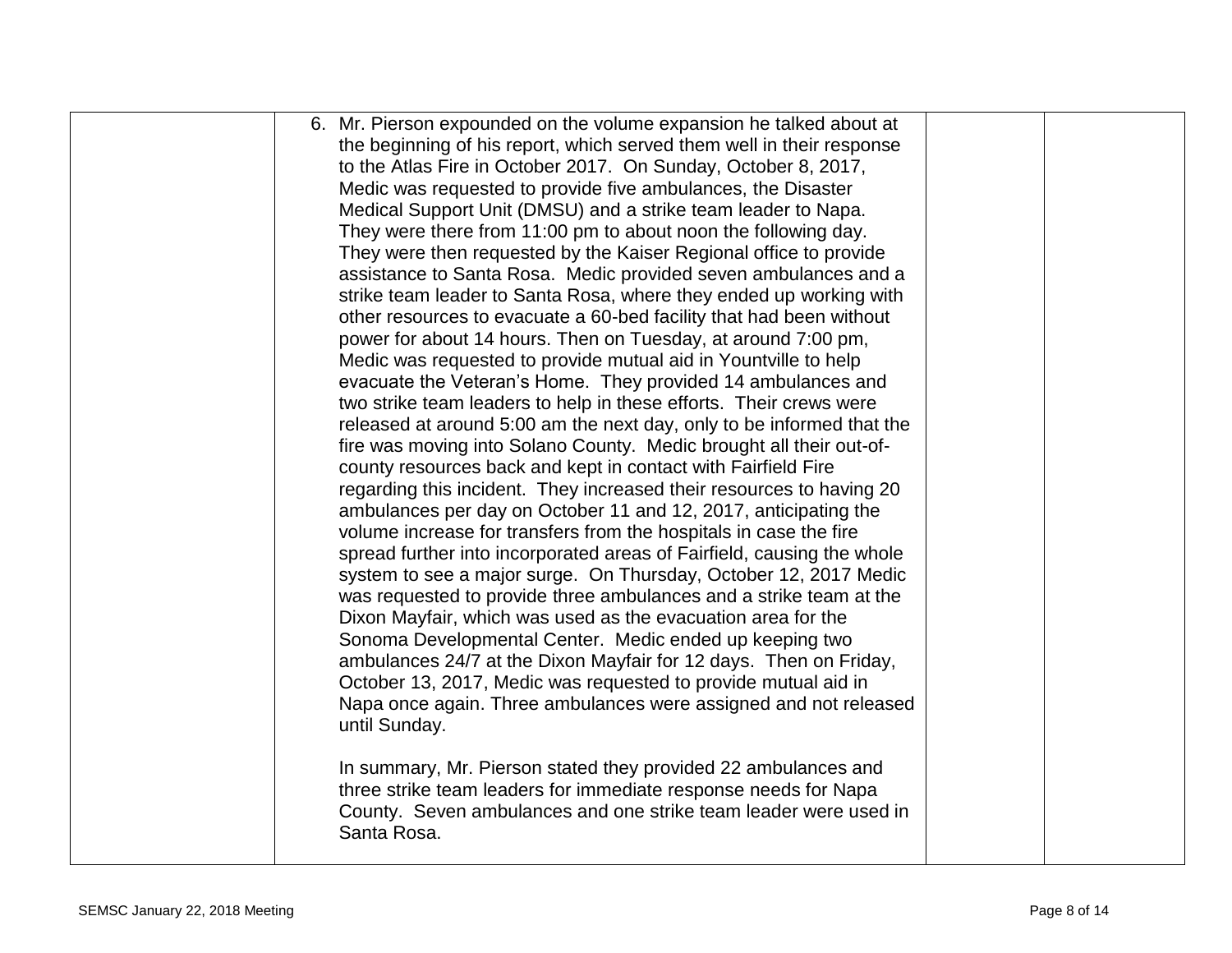| 6. Mr. Pierson expounded on the volume expansion he talked about at    |  |
|------------------------------------------------------------------------|--|
| the beginning of his report, which served them well in their response  |  |
| to the Atlas Fire in October 2017. On Sunday, October 8, 2017,         |  |
| Medic was requested to provide five ambulances, the Disaster           |  |
| Medical Support Unit (DMSU) and a strike team leader to Napa.          |  |
| They were there from 11:00 pm to about noon the following day.         |  |
| They were then requested by the Kaiser Regional office to provide      |  |
| assistance to Santa Rosa. Medic provided seven ambulances and a        |  |
| strike team leader to Santa Rosa, where they ended up working with     |  |
| other resources to evacuate a 60-bed facility that had been without    |  |
| power for about 14 hours. Then on Tuesday, at around 7:00 pm,          |  |
| Medic was requested to provide mutual aid in Yountville to help        |  |
| evacuate the Veteran's Home. They provided 14 ambulances and           |  |
| two strike team leaders to help in these efforts. Their crews were     |  |
| released at around 5:00 am the next day, only to be informed that the  |  |
| fire was moving into Solano County. Medic brought all their out-of-    |  |
| county resources back and kept in contact with Fairfield Fire          |  |
| regarding this incident. They increased their resources to having 20   |  |
| ambulances per day on October 11 and 12, 2017, anticipating the        |  |
| volume increase for transfers from the hospitals in case the fire      |  |
| spread further into incorporated areas of Fairfield, causing the whole |  |
| system to see a major surge. On Thursday, October 12, 2017 Medic       |  |
| was requested to provide three ambulances and a strike team at the     |  |
| Dixon Mayfair, which was used as the evacuation area for the           |  |
| Sonoma Developmental Center. Medic ended up keeping two                |  |
| ambulances 24/7 at the Dixon Mayfair for 12 days. Then on Friday,      |  |
| October 13, 2017, Medic was requested to provide mutual aid in         |  |
| Napa once again. Three ambulances were assigned and not released       |  |
| until Sunday.                                                          |  |
|                                                                        |  |
| In summary, Mr. Pierson stated they provided 22 ambulances and         |  |
| three strike team leaders for immediate response needs for Napa        |  |
| County. Seven ambulances and one strike team leader were used in       |  |
| Santa Rosa.                                                            |  |
|                                                                        |  |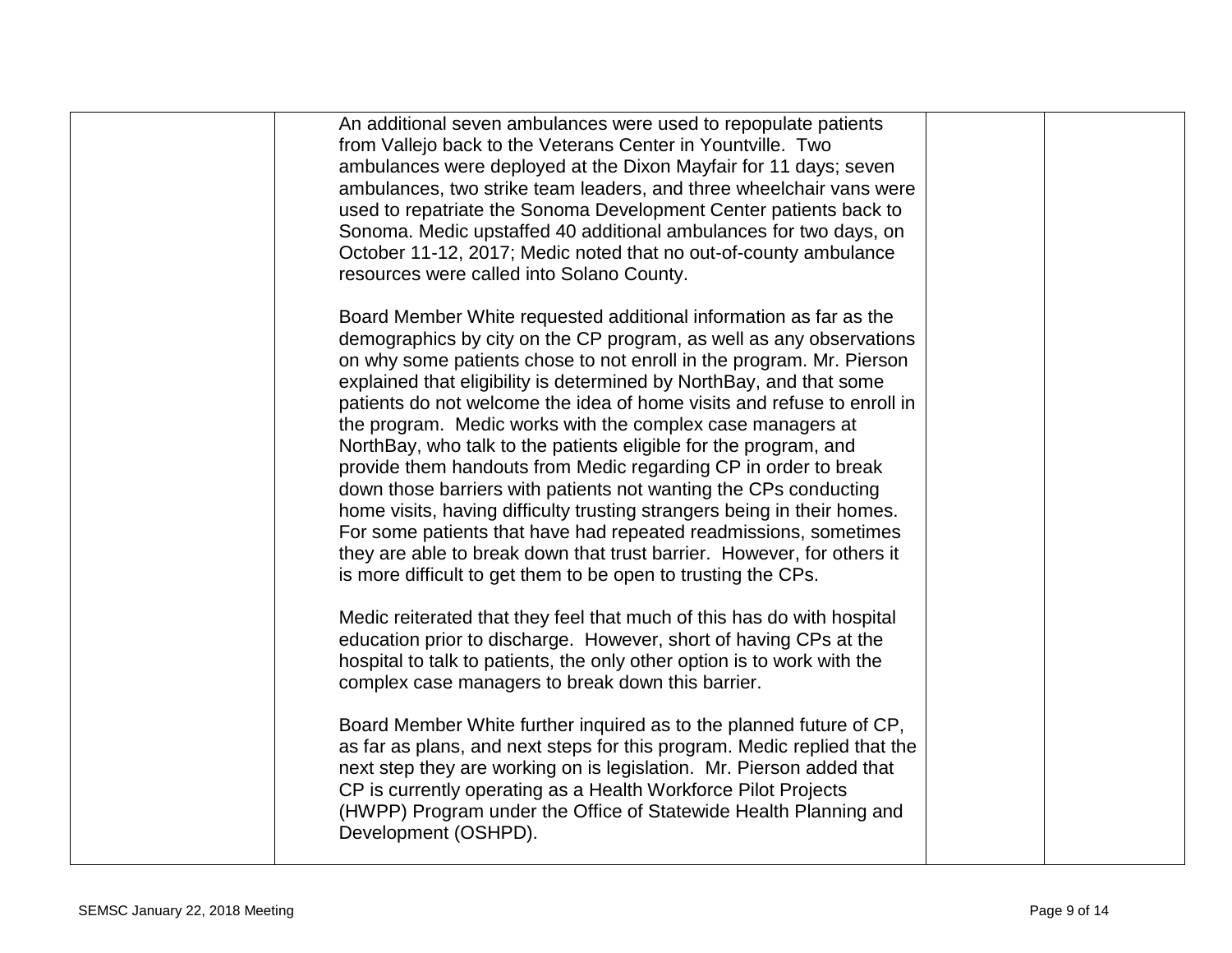| An additional seven ambulances were used to repopulate patients<br>from Vallejo back to the Veterans Center in Yountville. Two<br>ambulances were deployed at the Dixon Mayfair for 11 days; seven<br>ambulances, two strike team leaders, and three wheelchair vans were<br>used to repatriate the Sonoma Development Center patients back to<br>Sonoma. Medic upstaffed 40 additional ambulances for two days, on<br>October 11-12, 2017; Medic noted that no out-of-county ambulance<br>resources were called into Solano County.                                                                                                                                                                                                                                                                                                                                                                                                  |  |
|---------------------------------------------------------------------------------------------------------------------------------------------------------------------------------------------------------------------------------------------------------------------------------------------------------------------------------------------------------------------------------------------------------------------------------------------------------------------------------------------------------------------------------------------------------------------------------------------------------------------------------------------------------------------------------------------------------------------------------------------------------------------------------------------------------------------------------------------------------------------------------------------------------------------------------------|--|
| Board Member White requested additional information as far as the<br>demographics by city on the CP program, as well as any observations<br>on why some patients chose to not enroll in the program. Mr. Pierson<br>explained that eligibility is determined by NorthBay, and that some<br>patients do not welcome the idea of home visits and refuse to enroll in<br>the program. Medic works with the complex case managers at<br>NorthBay, who talk to the patients eligible for the program, and<br>provide them handouts from Medic regarding CP in order to break<br>down those barriers with patients not wanting the CPs conducting<br>home visits, having difficulty trusting strangers being in their homes.<br>For some patients that have had repeated readmissions, sometimes<br>they are able to break down that trust barrier. However, for others it<br>is more difficult to get them to be open to trusting the CPs. |  |
| Medic reiterated that they feel that much of this has do with hospital<br>education prior to discharge. However, short of having CPs at the<br>hospital to talk to patients, the only other option is to work with the<br>complex case managers to break down this barrier.                                                                                                                                                                                                                                                                                                                                                                                                                                                                                                                                                                                                                                                           |  |
| Board Member White further inquired as to the planned future of CP,<br>as far as plans, and next steps for this program. Medic replied that the<br>next step they are working on is legislation. Mr. Pierson added that<br>CP is currently operating as a Health Workforce Pilot Projects<br>(HWPP) Program under the Office of Statewide Health Planning and<br>Development (OSHPD).                                                                                                                                                                                                                                                                                                                                                                                                                                                                                                                                                 |  |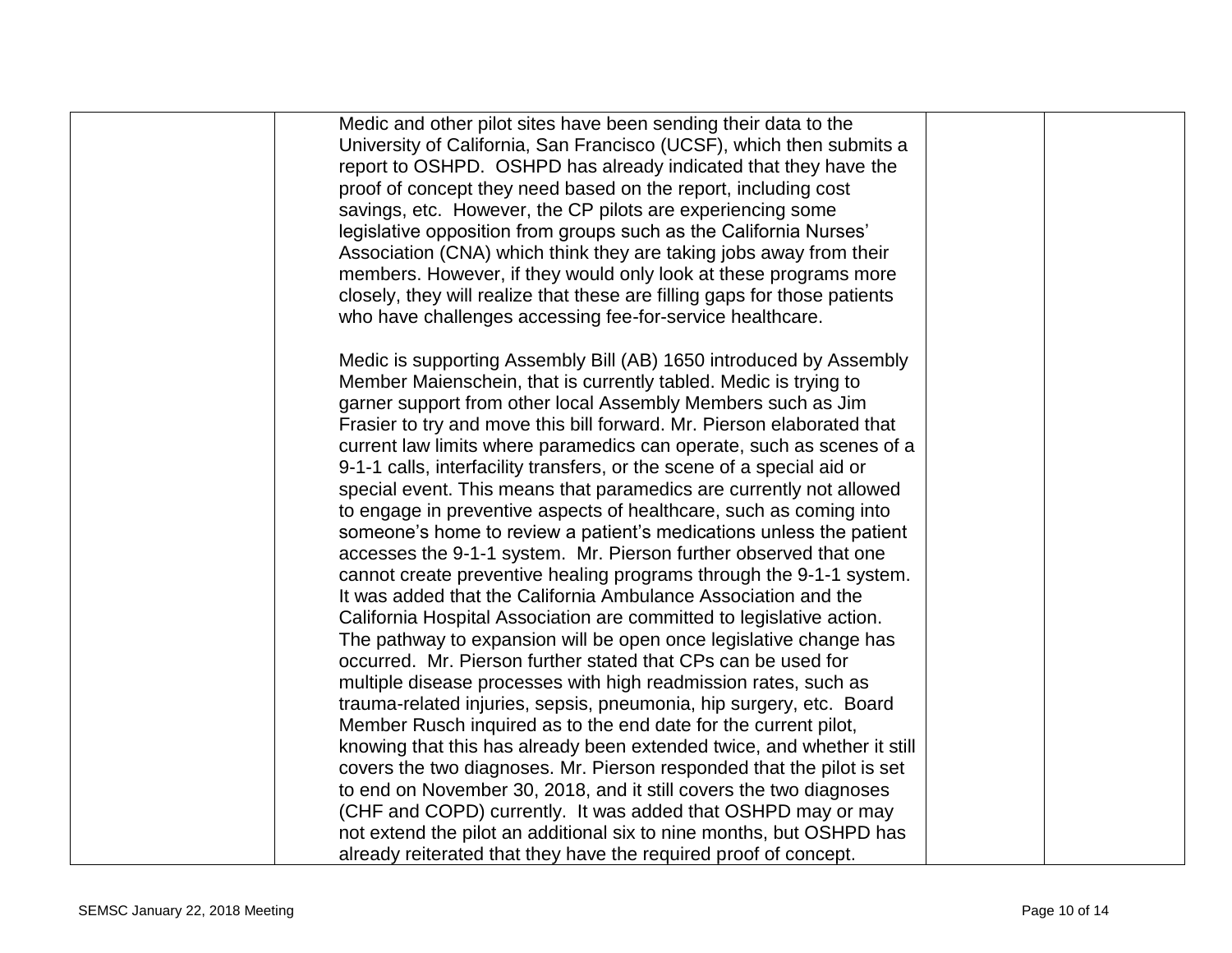| Medic and other pilot sites have been sending their data to the           |  |
|---------------------------------------------------------------------------|--|
| University of California, San Francisco (UCSF), which then submits a      |  |
| report to OSHPD. OSHPD has already indicated that they have the           |  |
| proof of concept they need based on the report, including cost            |  |
| savings, etc. However, the CP pilots are experiencing some                |  |
| legislative opposition from groups such as the California Nurses'         |  |
| Association (CNA) which think they are taking jobs away from their        |  |
| members. However, if they would only look at these programs more          |  |
| closely, they will realize that these are filling gaps for those patients |  |
| who have challenges accessing fee-for-service healthcare.                 |  |
|                                                                           |  |
| Medic is supporting Assembly Bill (AB) 1650 introduced by Assembly        |  |
| Member Maienschein, that is currently tabled. Medic is trying to          |  |
| garner support from other local Assembly Members such as Jim              |  |
| Frasier to try and move this bill forward. Mr. Pierson elaborated that    |  |
| current law limits where paramedics can operate, such as scenes of a      |  |
| 9-1-1 calls, interfacility transfers, or the scene of a special aid or    |  |
| special event. This means that paramedics are currently not allowed       |  |
| to engage in preventive aspects of healthcare, such as coming into        |  |
| someone's home to review a patient's medications unless the patient       |  |
| accesses the 9-1-1 system. Mr. Pierson further observed that one          |  |
| cannot create preventive healing programs through the 9-1-1 system.       |  |
| It was added that the California Ambulance Association and the            |  |
| California Hospital Association are committed to legislative action.      |  |
| The pathway to expansion will be open once legislative change has         |  |
| occurred. Mr. Pierson further stated that CPs can be used for             |  |
| multiple disease processes with high readmission rates, such as           |  |
| trauma-related injuries, sepsis, pneumonia, hip surgery, etc. Board       |  |
| Member Rusch inquired as to the end date for the current pilot,           |  |
| knowing that this has already been extended twice, and whether it still   |  |
| covers the two diagnoses. Mr. Pierson responded that the pilot is set     |  |
| to end on November 30, 2018, and it still covers the two diagnoses        |  |
| (CHF and COPD) currently. It was added that OSHPD may or may              |  |
| not extend the pilot an additional six to nine months, but OSHPD has      |  |
| already reiterated that they have the required proof of concept.          |  |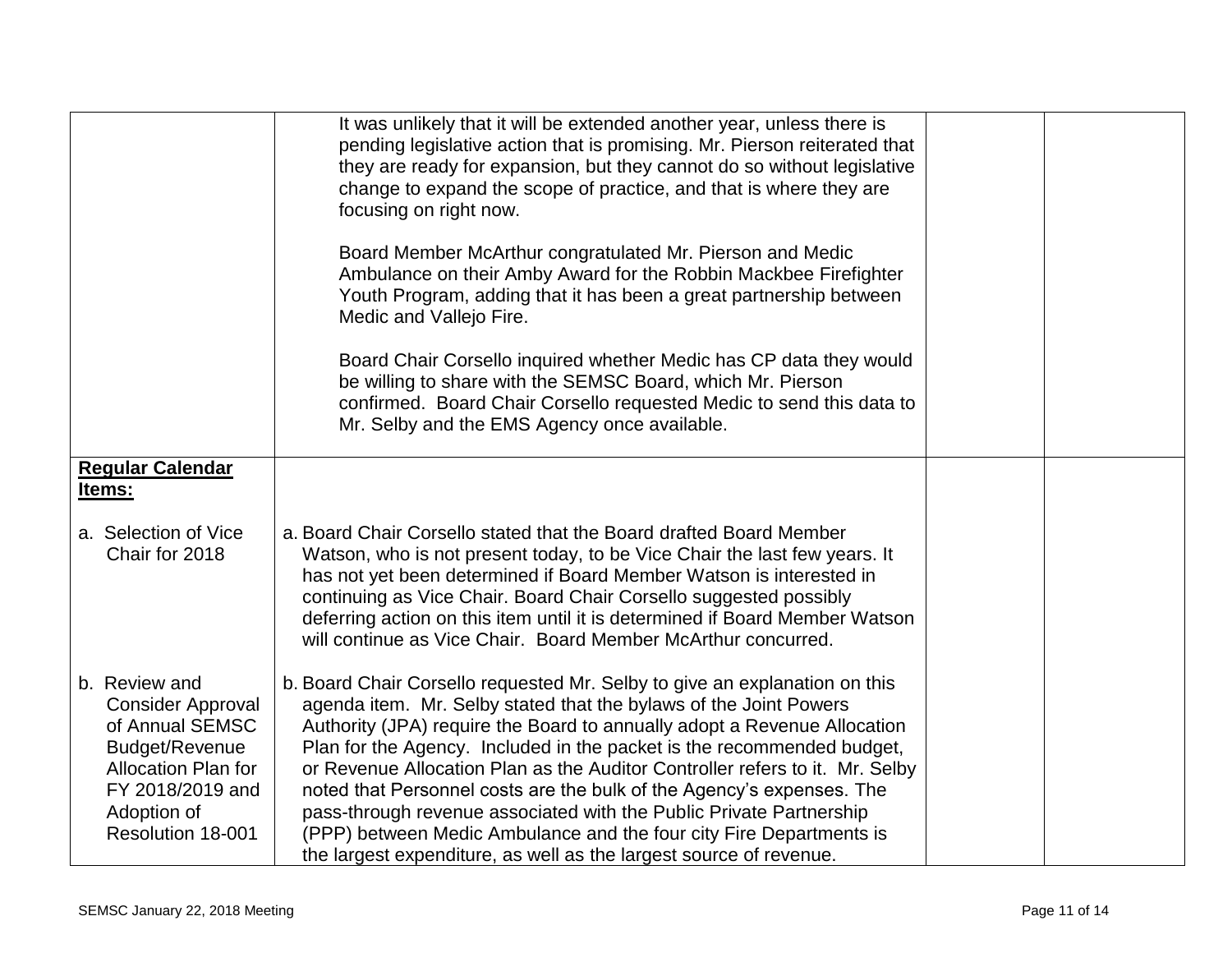|                                                                                                                                                                      | It was unlikely that it will be extended another year, unless there is<br>pending legislative action that is promising. Mr. Pierson reiterated that<br>they are ready for expansion, but they cannot do so without legislative<br>change to expand the scope of practice, and that is where they are<br>focusing on right now.<br>Board Member McArthur congratulated Mr. Pierson and Medic<br>Ambulance on their Amby Award for the Robbin Mackbee Firefighter<br>Youth Program, adding that it has been a great partnership between<br>Medic and Vallejo Fire.<br>Board Chair Corsello inquired whether Medic has CP data they would<br>be willing to share with the SEMSC Board, which Mr. Pierson<br>confirmed. Board Chair Corsello requested Medic to send this data to<br>Mr. Selby and the EMS Agency once available. |  |
|----------------------------------------------------------------------------------------------------------------------------------------------------------------------|-------------------------------------------------------------------------------------------------------------------------------------------------------------------------------------------------------------------------------------------------------------------------------------------------------------------------------------------------------------------------------------------------------------------------------------------------------------------------------------------------------------------------------------------------------------------------------------------------------------------------------------------------------------------------------------------------------------------------------------------------------------------------------------------------------------------------------|--|
| <b>Regular Calendar</b><br>Items:                                                                                                                                    |                                                                                                                                                                                                                                                                                                                                                                                                                                                                                                                                                                                                                                                                                                                                                                                                                               |  |
| a. Selection of Vice<br>Chair for 2018                                                                                                                               | a. Board Chair Corsello stated that the Board drafted Board Member<br>Watson, who is not present today, to be Vice Chair the last few years. It<br>has not yet been determined if Board Member Watson is interested in<br>continuing as Vice Chair. Board Chair Corsello suggested possibly<br>deferring action on this item until it is determined if Board Member Watson<br>will continue as Vice Chair. Board Member McArthur concurred.                                                                                                                                                                                                                                                                                                                                                                                   |  |
| b. Review and<br><b>Consider Approval</b><br>of Annual SEMSC<br>Budget/Revenue<br><b>Allocation Plan for</b><br>FY 2018/2019 and<br>Adoption of<br>Resolution 18-001 | b. Board Chair Corsello requested Mr. Selby to give an explanation on this<br>agenda item. Mr. Selby stated that the bylaws of the Joint Powers<br>Authority (JPA) require the Board to annually adopt a Revenue Allocation<br>Plan for the Agency. Included in the packet is the recommended budget,<br>or Revenue Allocation Plan as the Auditor Controller refers to it. Mr. Selby<br>noted that Personnel costs are the bulk of the Agency's expenses. The<br>pass-through revenue associated with the Public Private Partnership<br>(PPP) between Medic Ambulance and the four city Fire Departments is<br>the largest expenditure, as well as the largest source of revenue.                                                                                                                                            |  |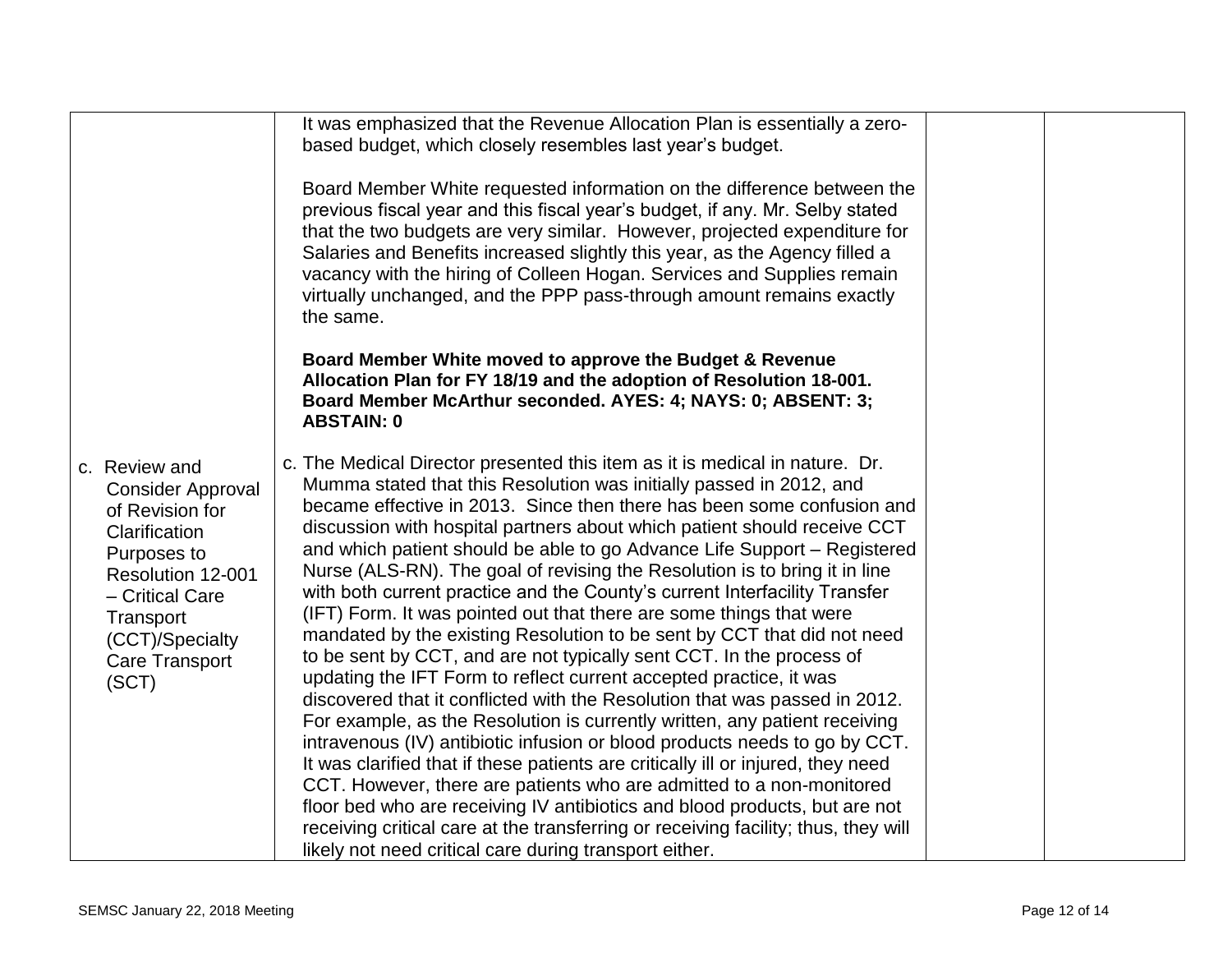|                                                                                                                                                                                                        | It was emphasized that the Revenue Allocation Plan is essentially a zero-<br>based budget, which closely resembles last year's budget.                                                                                                                                                                                                                                                                                                                                                                                                                                                                                                                                                                                                                                                                                                                                                                                                                                                                                                                                                                                                                                                                                                                                                                                                                                                                                                                                               |  |
|--------------------------------------------------------------------------------------------------------------------------------------------------------------------------------------------------------|--------------------------------------------------------------------------------------------------------------------------------------------------------------------------------------------------------------------------------------------------------------------------------------------------------------------------------------------------------------------------------------------------------------------------------------------------------------------------------------------------------------------------------------------------------------------------------------------------------------------------------------------------------------------------------------------------------------------------------------------------------------------------------------------------------------------------------------------------------------------------------------------------------------------------------------------------------------------------------------------------------------------------------------------------------------------------------------------------------------------------------------------------------------------------------------------------------------------------------------------------------------------------------------------------------------------------------------------------------------------------------------------------------------------------------------------------------------------------------------|--|
|                                                                                                                                                                                                        | Board Member White requested information on the difference between the<br>previous fiscal year and this fiscal year's budget, if any. Mr. Selby stated<br>that the two budgets are very similar. However, projected expenditure for<br>Salaries and Benefits increased slightly this year, as the Agency filled a<br>vacancy with the hiring of Colleen Hogan. Services and Supplies remain<br>virtually unchanged, and the PPP pass-through amount remains exactly<br>the same.                                                                                                                                                                                                                                                                                                                                                                                                                                                                                                                                                                                                                                                                                                                                                                                                                                                                                                                                                                                                     |  |
|                                                                                                                                                                                                        | Board Member White moved to approve the Budget & Revenue<br>Allocation Plan for FY 18/19 and the adoption of Resolution 18-001.<br>Board Member McArthur seconded. AYES: 4; NAYS: 0; ABSENT: 3;<br><b>ABSTAIN: 0</b>                                                                                                                                                                                                                                                                                                                                                                                                                                                                                                                                                                                                                                                                                                                                                                                                                                                                                                                                                                                                                                                                                                                                                                                                                                                                 |  |
| c. Review and<br><b>Consider Approval</b><br>of Revision for<br>Clarification<br>Purposes to<br>Resolution 12-001<br>- Critical Care<br>Transport<br>(CCT)/Specialty<br><b>Care Transport</b><br>(SCT) | c. The Medical Director presented this item as it is medical in nature. Dr.<br>Mumma stated that this Resolution was initially passed in 2012, and<br>became effective in 2013. Since then there has been some confusion and<br>discussion with hospital partners about which patient should receive CCT<br>and which patient should be able to go Advance Life Support – Registered<br>Nurse (ALS-RN). The goal of revising the Resolution is to bring it in line<br>with both current practice and the County's current Interfacility Transfer<br>(IFT) Form. It was pointed out that there are some things that were<br>mandated by the existing Resolution to be sent by CCT that did not need<br>to be sent by CCT, and are not typically sent CCT. In the process of<br>updating the IFT Form to reflect current accepted practice, it was<br>discovered that it conflicted with the Resolution that was passed in 2012.<br>For example, as the Resolution is currently written, any patient receiving<br>intravenous (IV) antibiotic infusion or blood products needs to go by CCT.<br>It was clarified that if these patients are critically ill or injured, they need<br>CCT. However, there are patients who are admitted to a non-monitored<br>floor bed who are receiving IV antibiotics and blood products, but are not<br>receiving critical care at the transferring or receiving facility; thus, they will<br>likely not need critical care during transport either. |  |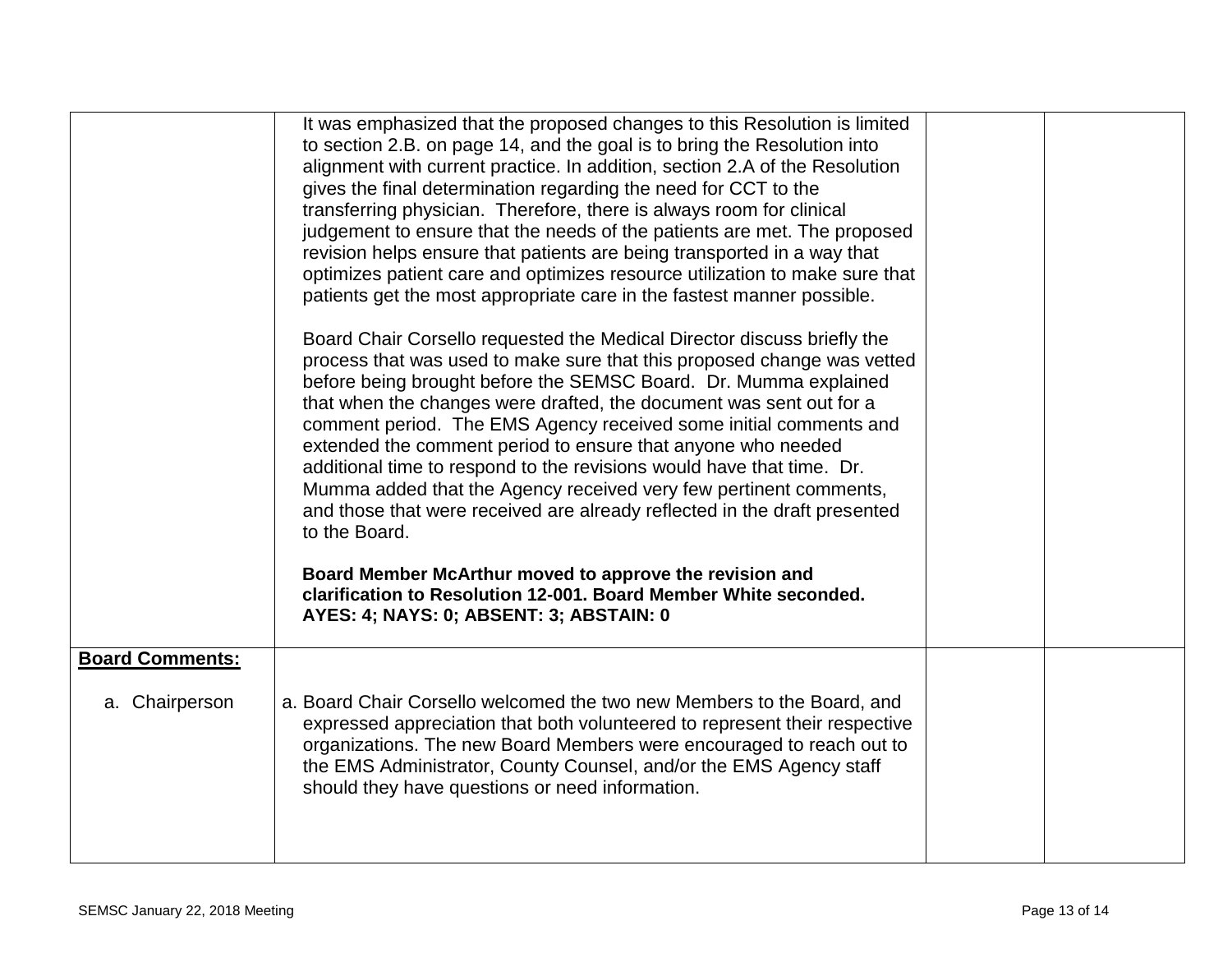|                                          | It was emphasized that the proposed changes to this Resolution is limited<br>to section 2.B. on page 14, and the goal is to bring the Resolution into<br>alignment with current practice. In addition, section 2.A of the Resolution<br>gives the final determination regarding the need for CCT to the<br>transferring physician. Therefore, there is always room for clinical<br>judgement to ensure that the needs of the patients are met. The proposed<br>revision helps ensure that patients are being transported in a way that<br>optimizes patient care and optimizes resource utilization to make sure that<br>patients get the most appropriate care in the fastest manner possible.<br>Board Chair Corsello requested the Medical Director discuss briefly the<br>process that was used to make sure that this proposed change was vetted<br>before being brought before the SEMSC Board. Dr. Mumma explained |  |
|------------------------------------------|---------------------------------------------------------------------------------------------------------------------------------------------------------------------------------------------------------------------------------------------------------------------------------------------------------------------------------------------------------------------------------------------------------------------------------------------------------------------------------------------------------------------------------------------------------------------------------------------------------------------------------------------------------------------------------------------------------------------------------------------------------------------------------------------------------------------------------------------------------------------------------------------------------------------------|--|
|                                          | that when the changes were drafted, the document was sent out for a<br>comment period. The EMS Agency received some initial comments and<br>extended the comment period to ensure that anyone who needed<br>additional time to respond to the revisions would have that time. Dr.<br>Mumma added that the Agency received very few pertinent comments,<br>and those that were received are already reflected in the draft presented<br>to the Board.<br>Board Member McArthur moved to approve the revision and<br>clarification to Resolution 12-001. Board Member White seconded.<br>AYES: 4; NAYS: 0; ABSENT: 3; ABSTAIN: 0                                                                                                                                                                                                                                                                                            |  |
| <b>Board Comments:</b><br>a. Chairperson | a. Board Chair Corsello welcomed the two new Members to the Board, and<br>expressed appreciation that both volunteered to represent their respective<br>organizations. The new Board Members were encouraged to reach out to<br>the EMS Administrator, County Counsel, and/or the EMS Agency staff<br>should they have questions or need information.                                                                                                                                                                                                                                                                                                                                                                                                                                                                                                                                                                     |  |